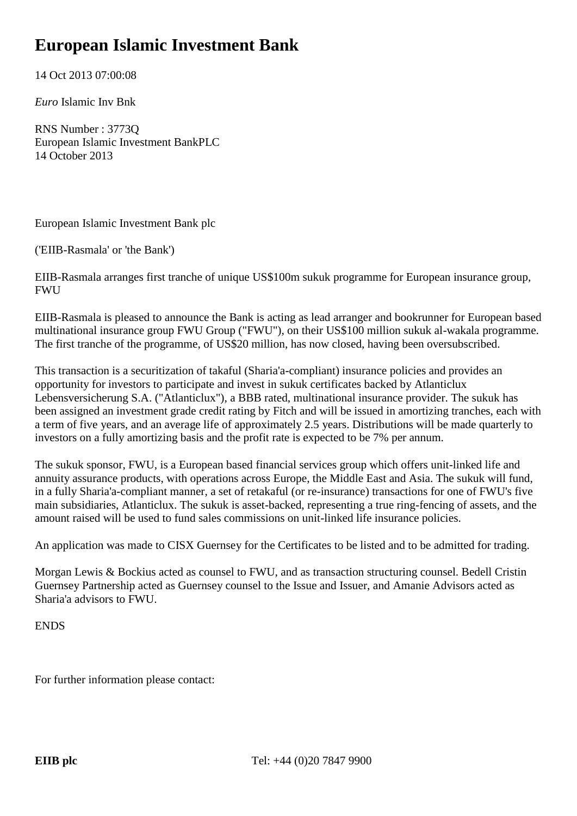## **European Islamic Investment Bank**

14 Oct 2013 07:00:08

*Euro* Islamic Inv Bnk

RNS Number : 3773Q European Islamic Investment BankPLC 14 October 2013

European Islamic Investment Bank plc

('EIIB-Rasmala' or 'the Bank')

EIIB-Rasmala arranges first tranche of unique US\$100m sukuk programme for European insurance group, FWU

EIIB-Rasmala is pleased to announce the Bank is acting as lead arranger and bookrunner for European based multinational insurance group FWU Group ("FWU"), on their US\$100 million sukuk al-wakala programme. The first tranche of the programme, of US\$20 million, has now closed, having been oversubscribed.

This transaction is a securitization of takaful (Sharia'a-compliant) insurance policies and provides an opportunity for investors to participate and invest in sukuk certificates backed by Atlanticlux Lebensversicherung S.A. ("Atlanticlux"), a BBB rated, multinational insurance provider. The sukuk has been assigned an investment grade credit rating by Fitch and will be issued in amortizing tranches, each with a term of five years, and an average life of approximately 2.5 years. Distributions will be made quarterly to investors on a fully amortizing basis and the profit rate is expected to be 7% per annum.

The sukuk sponsor, FWU, is a European based financial services group which offers unit-linked life and annuity assurance products, with operations across Europe, the Middle East and Asia. The sukuk will fund, in a fully Sharia'a-compliant manner, a set of retakaful (or re-insurance) transactions for one of FWU's five main subsidiaries, Atlanticlux. The sukuk is asset-backed, representing a true ring-fencing of assets, and the amount raised will be used to fund sales commissions on unit-linked life insurance policies.

An application was made to CISX Guernsey for the Certificates to be listed and to be admitted for trading.

Morgan Lewis & Bockius acted as counsel to FWU, and as transaction structuring counsel. Bedell Cristin Guernsey Partnership acted as Guernsey counsel to the Issue and Issuer, and Amanie Advisors acted as Sharia'a advisors to FWU.

**ENDS** 

For further information please contact: